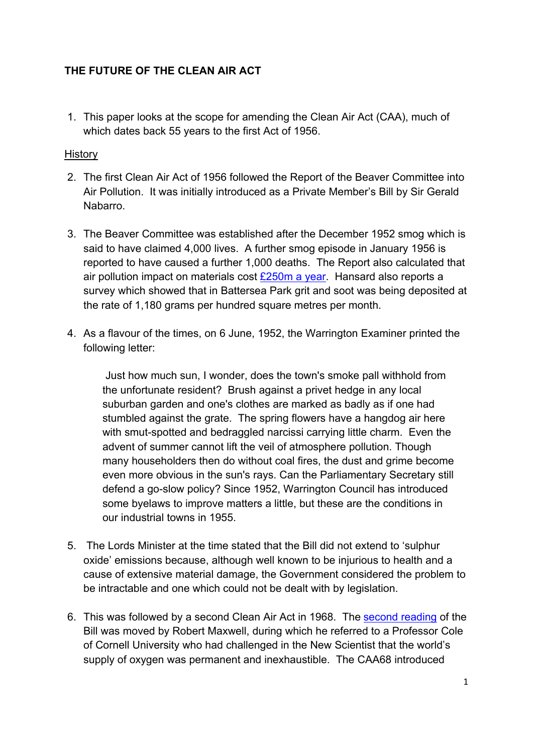# **THE FUTURE OF THE CLEAN AIR ACT**

1. This paper looks at the scope for amending the Clean Air Act (CAA), much of which dates back 55 years to the first Act of 1956.

### **History**

- 2. The first Clean Air Act of 1956 followed the Report of the Beaver Committee into Air Pollution. It was initially introduced as a Private Member's Bill by Sir Gerald Nabarro.
- 3. The Beaver Committee was established after the December 1952 smog which is said to have claimed 4,000 lives. A further smog episode in January 1956 is reported to have caused a further 1,000 deaths. The Report also calculated that air pollution impact on materials cost  $£250m$  a year. Hansard also reports a survey which showed that in Battersea Park grit and soot was being deposited at the rate of 1,180 grams per hundred square metres per month.
- 4. As a flavour of the times, on 6 June, 1952, the Warrington Examiner printed the following letter:

 Just how much sun, I wonder, does the town's smoke pall withhold from the unfortunate resident? Brush against a privet hedge in any local suburban garden and one's clothes are marked as badly as if one had stumbled against the grate. The spring flowers have a hangdog air here with smut-spotted and bedraggled narcissi carrying little charm. Even the advent of summer cannot lift the veil of atmosphere pollution. Though many householders then do without coal fires, the dust and grime become even more obvious in the sun's rays. Can the Parliamentary Secretary still defend a go-slow policy? Since 1952, Warrington Council has introduced some byelaws to improve matters a little, but these are the conditions in our industrial towns in 1955.

- 5. The Lords Minister at the time stated that the Bill did not extend to 'sulphur oxide' emissions because, although well known to be injurious to health and a cause of extensive material damage, the Government considered the problem to be intractable and one which could not be dealt with by legislation.
- 6. This was followed by a second Clean Air Act in 1968. The [second reading](http://hansard.millbanksystems.com/commons/1968/feb/02/clean-air-bill) of the Bill was moved by Robert Maxwell, during which he referred to a Professor Cole of Cornell University who had challenged in the New Scientist that the world's supply of oxygen was permanent and inexhaustible. The CAA68 introduced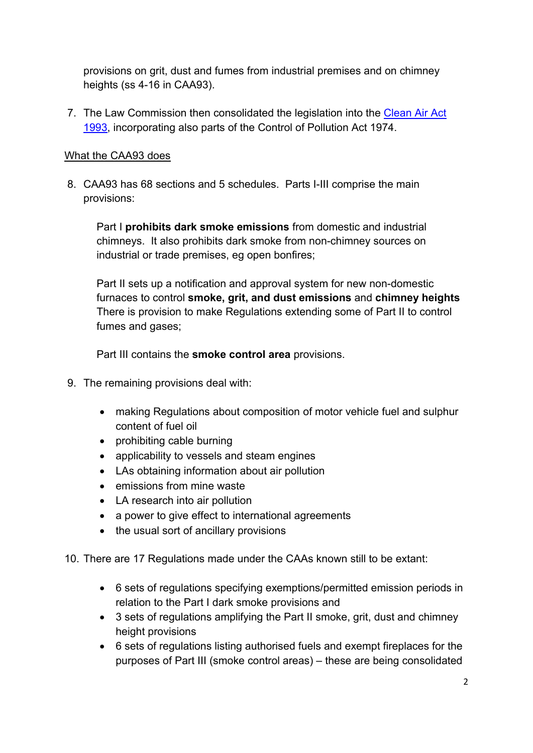provisions on grit, dust and fumes from industrial premises and on chimney heights (ss 4-16 in CAA93).

7. The Law Commission then consolidated the legislation into the [Clean Air Act](http://www.legislation.gov.uk/ukpga/1993/11/pdfs/ukpga_19930011_en.pdf) [1993,](http://www.legislation.gov.uk/ukpga/1993/11/pdfs/ukpga_19930011_en.pdf) incorporating also parts of the Control of Pollution Act 1974.

## What the CAA93 does

8. CAA93 has 68 sections and 5 schedules. Parts I-III comprise the main provisions:

Part I **prohibits dark smoke emissions** from domestic and industrial chimneys. It also prohibits dark smoke from non-chimney sources on industrial or trade premises, eg open bonfires;

Part II sets up a notification and approval system for new non-domestic furnaces to control **smoke, grit, and dust emissions** and **chimney heights** There is provision to make Regulations extending some of Part II to control fumes and gases;

Part III contains the **smoke control area** provisions.

- 9. The remaining provisions deal with:
	- making Regulations about composition of motor vehicle fuel and sulphur content of fuel oil
	- prohibiting cable burning
	- applicability to vessels and steam engines
	- LAs obtaining information about air pollution
	- emissions from mine waste
	- LA research into air pollution
	- a power to give effect to international agreements
	- the usual sort of ancillary provisions
- 10. There are 17 Regulations made under the CAAs known still to be extant:
	- 6 sets of regulations specifying exemptions/permitted emission periods in relation to the Part I dark smoke provisions and
	- 3 sets of regulations amplifying the Part II smoke, grit, dust and chimney height provisions
	- 6 sets of regulations listing authorised fuels and exempt fireplaces for the purposes of Part III (smoke control areas) – these are being consolidated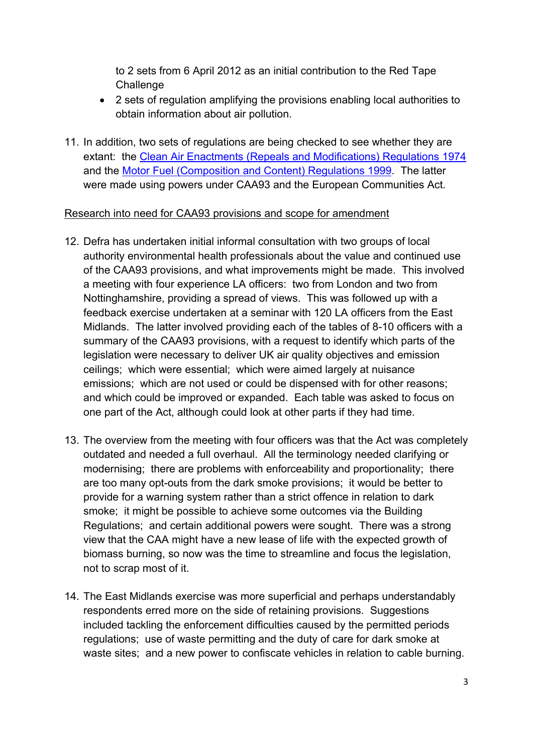to 2 sets from 6 April 2012 as an initial contribution to the Red Tape **Challenge** 

- 2 sets of regulation amplifying the provisions enabling local authorities to obtain information about air pollution.
- 11. In addition, two sets of regulations are being checked to see whether they are extant: the [Clean Air Enactments \(Repeals and Modifications\) Regulations 1974](http://www.legislation.gov.uk/uksi/1974/2170/made) and the [Motor Fuel \(Composition and Content\) Regulations 1999.](http://www.legislation.gov.uk/uksi/1999/3107/pdfs/uksi_19993107_en.pdf) The latter were made using powers under CAA93 and the European Communities Act.

## Research into need for CAA93 provisions and scope for amendment

- 12. Defra has undertaken initial informal consultation with two groups of local authority environmental health professionals about the value and continued use of the CAA93 provisions, and what improvements might be made. This involved a meeting with four experience LA officers: two from London and two from Nottinghamshire, providing a spread of views. This was followed up with a feedback exercise undertaken at a seminar with 120 LA officers from the East Midlands. The latter involved providing each of the tables of 8-10 officers with a summary of the CAA93 provisions, with a request to identify which parts of the legislation were necessary to deliver UK air quality objectives and emission ceilings; which were essential; which were aimed largely at nuisance emissions; which are not used or could be dispensed with for other reasons; and which could be improved or expanded. Each table was asked to focus on one part of the Act, although could look at other parts if they had time.
- 13. The overview from the meeting with four officers was that the Act was completely outdated and needed a full overhaul. All the terminology needed clarifying or modernising; there are problems with enforceability and proportionality; there are too many opt-outs from the dark smoke provisions; it would be better to provide for a warning system rather than a strict offence in relation to dark smoke; it might be possible to achieve some outcomes via the Building Regulations; and certain additional powers were sought. There was a strong view that the CAA might have a new lease of life with the expected growth of biomass burning, so now was the time to streamline and focus the legislation, not to scrap most of it.
- 14. The East Midlands exercise was more superficial and perhaps understandably respondents erred more on the side of retaining provisions. Suggestions included tackling the enforcement difficulties caused by the permitted periods regulations; use of waste permitting and the duty of care for dark smoke at waste sites; and a new power to confiscate vehicles in relation to cable burning.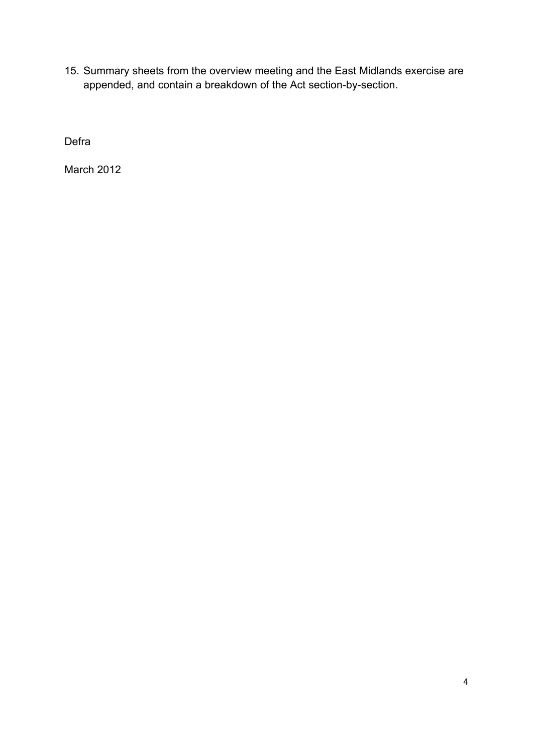15. Summary sheets from the overview meeting and the East Midlands exercise are appended, and contain a breakdown of the Act section-by-section.

Defra

March 2012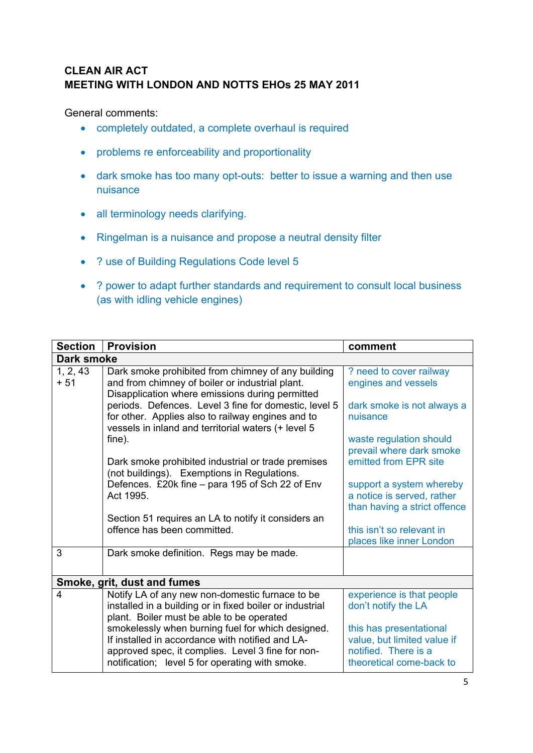# **CLEAN AIR ACT MEETING WITH LONDON AND NOTTS EHOs 25 MAY 2011**

General comments:

- completely outdated, a complete overhaul is required
- problems re enforceability and proportionality
- dark smoke has too many opt-outs: better to issue a warning and then use nuisance
- all terminology needs clarifying.
- Ringelman is a nuisance and propose a neutral density filter
- ? use of Building Regulations Code level 5
- ? power to adapt further standards and requirement to consult local business (as with idling vehicle engines)

| <b>Section</b>    | <b>Provision</b>                                                                                                                                                                                              | comment                                                                                                    |  |
|-------------------|---------------------------------------------------------------------------------------------------------------------------------------------------------------------------------------------------------------|------------------------------------------------------------------------------------------------------------|--|
| <b>Dark smoke</b> |                                                                                                                                                                                                               |                                                                                                            |  |
| 1, 2, 43<br>$+51$ | Dark smoke prohibited from chimney of any building<br>and from chimney of boiler or industrial plant.<br>Disapplication where emissions during permitted                                                      | ? need to cover railway<br>engines and vessels                                                             |  |
|                   | periods. Defences. Level 3 fine for domestic, level 5<br>for other. Applies also to railway engines and to<br>vessels in inland and territorial waters (+ level 5                                             | dark smoke is not always a<br>nuisance                                                                     |  |
|                   | fine).                                                                                                                                                                                                        | waste regulation should<br>prevail where dark smoke                                                        |  |
|                   | Dark smoke prohibited industrial or trade premises<br>(not buildings). Exemptions in Regulations.                                                                                                             | emitted from EPR site                                                                                      |  |
|                   | Defences. £20k fine - para 195 of Sch 22 of Env<br>Act 1995.                                                                                                                                                  | support a system whereby<br>a notice is served, rather<br>than having a strict offence                     |  |
|                   | Section 51 requires an LA to notify it considers an<br>offence has been committed.                                                                                                                            | this isn't so relevant in                                                                                  |  |
|                   |                                                                                                                                                                                                               | places like inner London                                                                                   |  |
| 3                 | Dark smoke definition. Regs may be made.                                                                                                                                                                      |                                                                                                            |  |
|                   | Smoke, grit, dust and fumes                                                                                                                                                                                   |                                                                                                            |  |
| $\overline{4}$    | Notify LA of any new non-domestic furnace to be<br>installed in a building or in fixed boiler or industrial<br>plant. Boiler must be able to be operated                                                      | experience is that people<br>don't notify the LA                                                           |  |
|                   | smokelessly when burning fuel for which designed.<br>If installed in accordance with notified and LA-<br>approved spec, it complies. Level 3 fine for non-<br>notification; level 5 for operating with smoke. | this has presentational<br>value, but limited value if<br>notified. There is a<br>theoretical come-back to |  |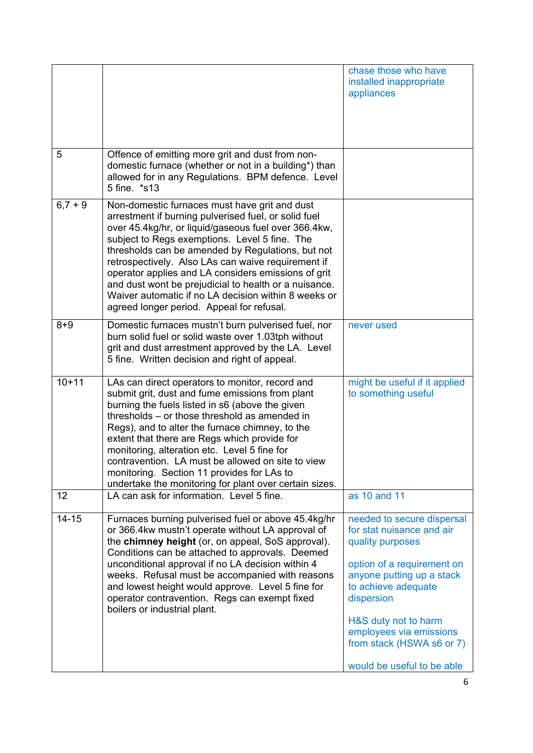|           |                                                                                                                                                                                                                                                                                                                                                                                                                                                                                                                                                | chase those who have<br>installed inappropriate<br>appliances                                                                                                                                                                                               |
|-----------|------------------------------------------------------------------------------------------------------------------------------------------------------------------------------------------------------------------------------------------------------------------------------------------------------------------------------------------------------------------------------------------------------------------------------------------------------------------------------------------------------------------------------------------------|-------------------------------------------------------------------------------------------------------------------------------------------------------------------------------------------------------------------------------------------------------------|
| 5         | Offence of emitting more grit and dust from non-<br>domestic furnace (whether or not in a building*) than<br>allowed for in any Regulations. BPM defence. Level<br>5 fine. *s13                                                                                                                                                                                                                                                                                                                                                                |                                                                                                                                                                                                                                                             |
| $6,7+9$   | Non-domestic furnaces must have grit and dust<br>arrestment if burning pulverised fuel, or solid fuel<br>over 45.4kg/hr, or liquid/gaseous fuel over 366.4kw,<br>subject to Regs exemptions. Level 5 fine. The<br>thresholds can be amended by Regulations, but not<br>retrospectively. Also LAs can waive requirement if<br>operator applies and LA considers emissions of grit<br>and dust wont be prejudicial to health or a nuisance.<br>Waiver automatic if no LA decision within 8 weeks or<br>agreed longer period. Appeal for refusal. |                                                                                                                                                                                                                                                             |
| $8 + 9$   | Domestic furnaces mustn't burn pulverised fuel, nor<br>burn solid fuel or solid waste over 1.03tph without<br>grit and dust arrestment approved by the LA. Level<br>5 fine. Written decision and right of appeal.                                                                                                                                                                                                                                                                                                                              | never used                                                                                                                                                                                                                                                  |
| $10 + 11$ | LAs can direct operators to monitor, record and<br>submit grit, dust and fume emissions from plant<br>burning the fuels listed in s6 (above the given<br>thresholds – or those threshold as amended in<br>Regs), and to alter the furnace chimney, to the<br>extent that there are Regs which provide for<br>monitoring, alteration etc. Level 5 fine for<br>contravention. LA must be allowed on site to view<br>monitoring. Section 11 provides for LAs to<br>undertake the monitoring for plant over certain sizes.                         | might be useful if it applied<br>to something useful                                                                                                                                                                                                        |
| 12        | LA can ask for information. Level 5 fine.                                                                                                                                                                                                                                                                                                                                                                                                                                                                                                      | as 10 and 11                                                                                                                                                                                                                                                |
| $14 - 15$ | Furnaces burning pulverised fuel or above 45.4kg/hr<br>or 366.4kw mustn't operate without LA approval of<br>the chimney height (or, on appeal, SoS approval).<br>Conditions can be attached to approvals. Deemed<br>unconditional approval if no LA decision within 4<br>weeks. Refusal must be accompanied with reasons<br>and lowest height would approve. Level 5 fine for<br>operator contravention. Regs can exempt fixed<br>boilers or industrial plant.                                                                                 | needed to secure dispersal<br>for stat nuisance and air<br>quality purposes<br>option of a requirement on<br>anyone putting up a stack<br>to achieve adequate<br>dispersion<br>H&S duty not to harm<br>employees via emissions<br>from stack (HSWA s6 or 7) |
|           |                                                                                                                                                                                                                                                                                                                                                                                                                                                                                                                                                | would be useful to be able                                                                                                                                                                                                                                  |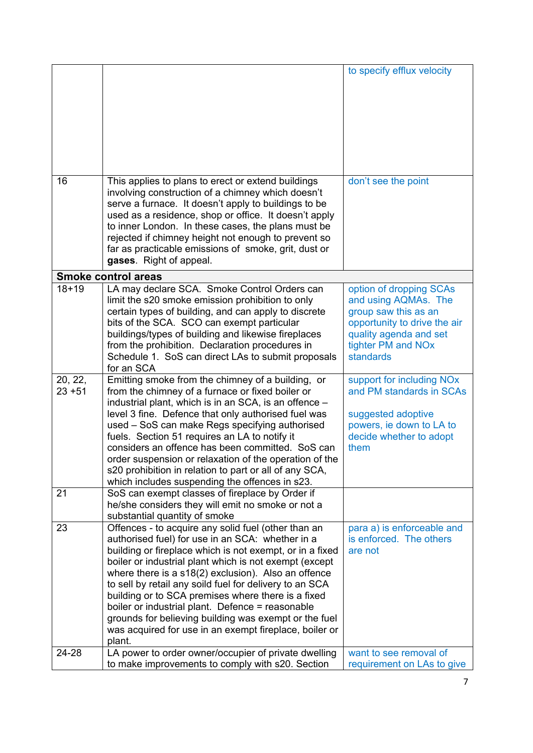|           |                                                                                                   | to specify efflux velocity            |
|-----------|---------------------------------------------------------------------------------------------------|---------------------------------------|
|           |                                                                                                   |                                       |
|           |                                                                                                   |                                       |
|           |                                                                                                   |                                       |
|           |                                                                                                   |                                       |
|           |                                                                                                   |                                       |
|           |                                                                                                   |                                       |
|           |                                                                                                   |                                       |
|           |                                                                                                   |                                       |
|           |                                                                                                   |                                       |
| 16        | This applies to plans to erect or extend buildings                                                | don't see the point                   |
|           | involving construction of a chimney which doesn't                                                 |                                       |
|           | serve a furnace. It doesn't apply to buildings to be                                              |                                       |
|           | used as a residence, shop or office. It doesn't apply                                             |                                       |
|           | to inner London. In these cases, the plans must be                                                |                                       |
|           | rejected if chimney height not enough to prevent so                                               |                                       |
|           | far as practicable emissions of smoke, grit, dust or                                              |                                       |
|           | gases. Right of appeal.                                                                           |                                       |
|           | <b>Smoke control areas</b>                                                                        |                                       |
| $18 + 19$ | LA may declare SCA. Smoke Control Orders can                                                      | option of dropping SCAs               |
|           | limit the s20 smoke emission prohibition to only                                                  | and using AQMAs. The                  |
|           | certain types of building, and can apply to discrete                                              | group saw this as an                  |
|           | bits of the SCA. SCO can exempt particular                                                        | opportunity to drive the air          |
|           | buildings/types of building and likewise fireplaces                                               | quality agenda and set                |
|           | from the prohibition. Declaration procedures in                                                   | tighter PM and NOx                    |
|           | Schedule 1. SoS can direct LAs to submit proposals                                                | standards                             |
|           | for an SCA                                                                                        |                                       |
| 20, 22,   | Emitting smoke from the chimney of a building, or                                                 | support for including NO <sub>x</sub> |
| $23 + 51$ | from the chimney of a furnace or fixed boiler or                                                  | and PM standards in SCAs              |
|           | industrial plant, which is in an SCA, is an offence -                                             |                                       |
|           | level 3 fine. Defence that only authorised fuel was                                               | suggested adoptive                    |
|           | used - SoS can make Regs specifying authorised                                                    | powers, ie down to LA to              |
|           | fuels. Section 51 requires an LA to notify it<br>considers an offence has been committed. SoS can | decide whether to adopt               |
|           | order suspension or relaxation of the operation of the                                            | them                                  |
|           | s20 prohibition in relation to part or all of any SCA,                                            |                                       |
|           | which includes suspending the offences in s23.                                                    |                                       |
| 21        | SoS can exempt classes of fireplace by Order if                                                   |                                       |
|           | he/she considers they will emit no smoke or not a                                                 |                                       |
|           | substantial quantity of smoke                                                                     |                                       |
| 23        | Offences - to acquire any solid fuel (other than an                                               | para a) is enforceable and            |
|           | authorised fuel) for use in an SCA: whether in a                                                  | is enforced. The others               |
|           | building or fireplace which is not exempt, or in a fixed                                          | are not                               |
|           | boiler or industrial plant which is not exempt (except                                            |                                       |
|           | where there is a s18(2) exclusion). Also an offence                                               |                                       |
|           | to sell by retail any soild fuel for delivery to an SCA                                           |                                       |
|           | building or to SCA premises where there is a fixed                                                |                                       |
|           | boiler or industrial plant. Defence = reasonable                                                  |                                       |
|           | grounds for believing building was exempt or the fuel                                             |                                       |
|           | was acquired for use in an exempt fireplace, boiler or                                            |                                       |
|           | plant.                                                                                            |                                       |
| 24-28     | LA power to order owner/occupier of private dwelling                                              | want to see removal of                |
|           | to make improvements to comply with s20. Section                                                  | requirement on LAs to give            |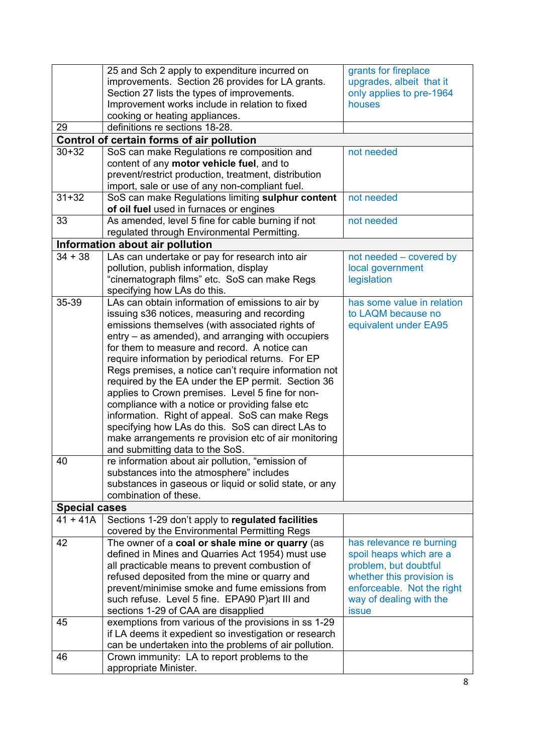|                      | 25 and Sch 2 apply to expenditure incurred on<br>improvements. Section 26 provides for LA grants.<br>Section 27 lists the types of improvements. | grants for fireplace<br>upgrades, albeit that it<br>only applies to pre-1964 |
|----------------------|--------------------------------------------------------------------------------------------------------------------------------------------------|------------------------------------------------------------------------------|
|                      | Improvement works include in relation to fixed                                                                                                   | houses                                                                       |
| 29                   | cooking or heating appliances.<br>definitions re sections 18-28.                                                                                 |                                                                              |
|                      | Control of certain forms of air pollution                                                                                                        |                                                                              |
| $30 + 32$            | SoS can make Regulations re composition and                                                                                                      | not needed                                                                   |
|                      | content of any motor vehicle fuel, and to                                                                                                        |                                                                              |
|                      | prevent/restrict production, treatment, distribution                                                                                             |                                                                              |
|                      | import, sale or use of any non-compliant fuel.                                                                                                   |                                                                              |
| $31 + 32$            | SoS can make Regulations limiting sulphur content                                                                                                | not needed                                                                   |
|                      | of oil fuel used in furnaces or engines                                                                                                          |                                                                              |
| 33                   | As amended, level 5 fine for cable burning if not                                                                                                | not needed                                                                   |
|                      | regulated through Environmental Permitting.                                                                                                      |                                                                              |
|                      | Information about air pollution                                                                                                                  |                                                                              |
| $34 + 38$            | LAs can undertake or pay for research into air                                                                                                   | not needed - covered by                                                      |
|                      | pollution, publish information, display                                                                                                          | local government                                                             |
|                      | "cinematograph films" etc. SoS can make Regs                                                                                                     | legislation                                                                  |
|                      | specifying how LAs do this.                                                                                                                      |                                                                              |
| 35-39                | LAs can obtain information of emissions to air by                                                                                                | has some value in relation                                                   |
|                      | issuing s36 notices, measuring and recording                                                                                                     | to LAQM because no                                                           |
|                      | emissions themselves (with associated rights of                                                                                                  | equivalent under EA95                                                        |
|                      | entry – as amended), and arranging with occupiers                                                                                                |                                                                              |
|                      | for them to measure and record. A notice can<br>require information by periodical returns. For EP                                                |                                                                              |
|                      | Regs premises, a notice can't require information not                                                                                            |                                                                              |
|                      | required by the EA under the EP permit. Section 36                                                                                               |                                                                              |
|                      | applies to Crown premises. Level 5 fine for non-                                                                                                 |                                                                              |
|                      | compliance with a notice or providing false etc                                                                                                  |                                                                              |
|                      | information. Right of appeal. SoS can make Regs                                                                                                  |                                                                              |
|                      | specifying how LAs do this. SoS can direct LAs to                                                                                                |                                                                              |
|                      | make arrangements re provision etc of air monitoring                                                                                             |                                                                              |
|                      | and submitting data to the SoS.                                                                                                                  |                                                                              |
| 40                   | re information about air pollution, "emission of                                                                                                 |                                                                              |
|                      | substances into the atmosphere" includes                                                                                                         |                                                                              |
|                      | substances in gaseous or liquid or solid state, or any                                                                                           |                                                                              |
|                      | combination of these.                                                                                                                            |                                                                              |
| <b>Special cases</b> |                                                                                                                                                  |                                                                              |
| $41 + 41A$           | Sections 1-29 don't apply to regulated facilities                                                                                                |                                                                              |
|                      | covered by the Environmental Permitting Regs                                                                                                     |                                                                              |
| 42                   | The owner of a coal or shale mine or quarry (as                                                                                                  | has relevance re burning                                                     |
|                      | defined in Mines and Quarries Act 1954) must use                                                                                                 | spoil heaps which are a                                                      |
|                      | all practicable means to prevent combustion of<br>refused deposited from the mine or quarry and                                                  | problem, but doubtful<br>whether this provision is                           |
|                      | prevent/minimise smoke and fume emissions from                                                                                                   | enforceable. Not the right                                                   |
|                      | such refuse. Level 5 fine. EPA90 P)art III and                                                                                                   | way of dealing with the                                                      |
|                      | sections 1-29 of CAA are disapplied                                                                                                              | <b>issue</b>                                                                 |
| 45                   | exemptions from various of the provisions in ss 1-29                                                                                             |                                                                              |
|                      | if LA deems it expedient so investigation or research                                                                                            |                                                                              |
|                      | can be undertaken into the problems of air pollution.                                                                                            |                                                                              |
| 46                   | Crown immunity: LA to report problems to the                                                                                                     |                                                                              |
|                      | appropriate Minister.                                                                                                                            |                                                                              |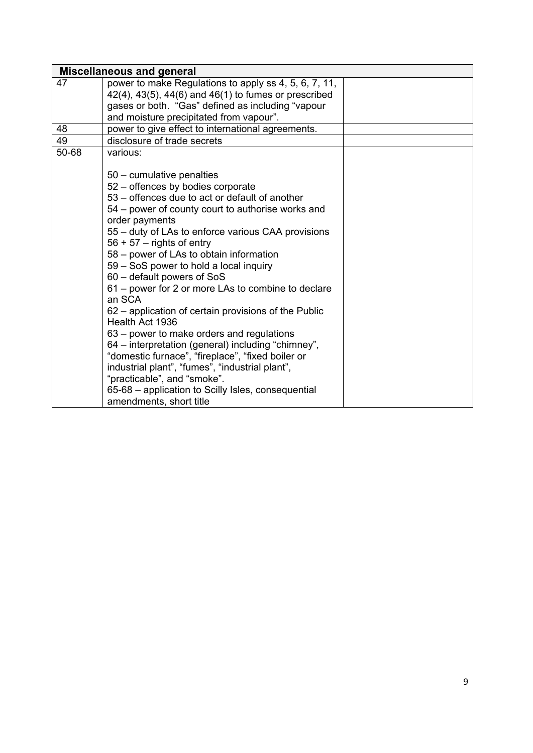|       | <b>Miscellaneous and general</b>                               |  |
|-------|----------------------------------------------------------------|--|
| 47    | power to make Regulations to apply ss 4, 5, 6, 7, 11,          |  |
|       | $42(4)$ , $43(5)$ , $44(6)$ and $46(1)$ to fumes or prescribed |  |
|       | gases or both. "Gas" defined as including "vapour              |  |
|       | and moisture precipitated from vapour".                        |  |
| 48    | power to give effect to international agreements.              |  |
| 49    | disclosure of trade secrets                                    |  |
| 50-68 | various:                                                       |  |
|       |                                                                |  |
|       | 50 - cumulative penalties                                      |  |
|       | 52 – offences by bodies corporate                              |  |
|       | 53 – offences due to act or default of another                 |  |
|       | 54 – power of county court to authorise works and              |  |
|       | order payments                                                 |  |
|       | 55 - duty of LAs to enforce various CAA provisions             |  |
|       | $56 + 57 -$ rights of entry                                    |  |
|       | 58 - power of LAs to obtain information                        |  |
|       | 59 - SoS power to hold a local inquiry                         |  |
|       | 60 - default powers of SoS                                     |  |
|       | 61 – power for 2 or more LAs to combine to declare<br>an SCA   |  |
|       | 62 - application of certain provisions of the Public           |  |
|       | Health Act 1936                                                |  |
|       | 63 – power to make orders and regulations                      |  |
|       | 64 - interpretation (general) including "chimney",             |  |
|       | "domestic furnace", "fireplace", "fixed boiler or              |  |
|       | industrial plant", "fumes", "industrial plant",                |  |
|       | "practicable", and "smoke".                                    |  |
|       | 65-68 - application to Scilly Isles, consequential             |  |
|       | amendments, short title                                        |  |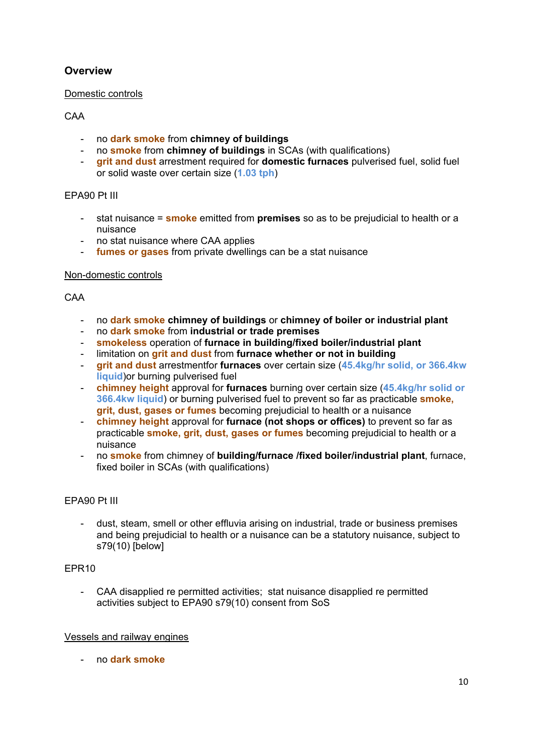## **Overview**

#### Domestic controls

### CAA

- no **dark smoke** from **chimney of buildings**
- no **smoke** from **chimney of buildings** in SCAs (with qualifications)
- **grit and dust** arrestment required for **domestic furnaces** pulverised fuel, solid fuel or solid waste over certain size (**1.03 tph**)

### EPA90 Pt III

- stat nuisance = **smoke** emitted from **premises** so as to be prejudicial to health or a nuisance
- no stat nuisance where CAA applies
- **fumes or gases** from private dwellings can be a stat nuisance

#### Non-domestic controls

### CAA

- no **dark smoke chimney of buildings** or **chimney of boiler or industrial plant**
- no **dark smoke** from **industrial or trade premises**
- **smokeless** operation of **furnace in building/fixed boiler/industrial plant**
- limitation on **grit and dust** from **furnace whether or not in building**
- **grit and dust** arrestmentfor **furnaces** over certain size (**45.4kg/hr solid, or 366.4kw liquid**)or burning pulverised fuel
- **chimney height** approval for **furnaces** burning over certain size (**45.4kg/hr solid or 366.4kw liquid**) or burning pulverised fuel to prevent so far as practicable **smoke, grit, dust, gases or fumes** becoming prejudicial to health or a nuisance
- **chimney height** approval for **furnace (not shops or offices)** to prevent so far as practicable **smoke, grit, dust, gases or fumes** becoming prejudicial to health or a nuisance
- no **smoke** from chimney of **building/furnace /fixed boiler/industrial plant**, furnace, fixed boiler in SCAs (with qualifications)

### EPA90 Pt III

- dust, steam, smell or other effluvia arising on industrial, trade or business premises and being prejudicial to health or a nuisance can be a statutory nuisance, subject to s79(10) [below]

#### EPR10

- CAA disapplied re permitted activities; stat nuisance disapplied re permitted activities subject to EPA90 s79(10) consent from SoS

#### Vessels and railway engines

- no **dark smoke**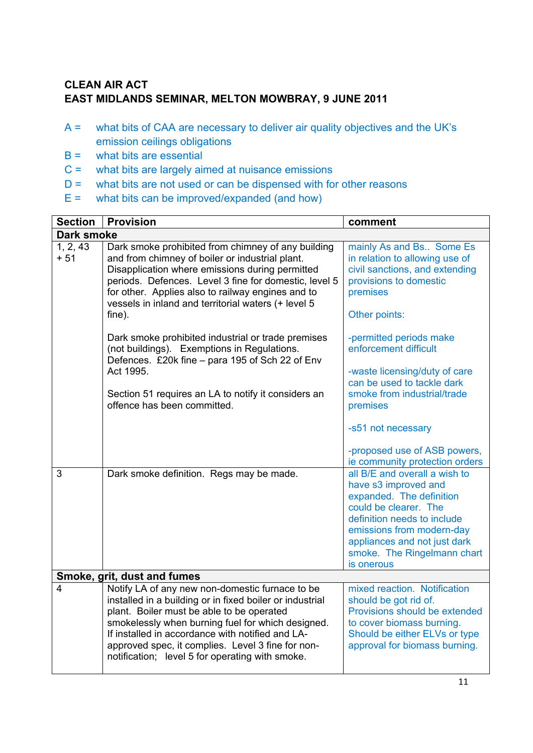# **CLEAN AIR ACT EAST MIDLANDS SEMINAR, MELTON MOWBRAY, 9 JUNE 2011**

- A = what bits of CAA are necessary to deliver air quality objectives and the UK's emission ceilings obligations
- $B =$  what bits are essential
- C = what bits are largely aimed at nuisance emissions
- $D =$  what bits are not used or can be dispensed with for other reasons
- $E =$  what bits can be improved/expanded (and how)

| <b>Section</b>              | <b>Provision</b>                                                                                                                                                                                                                                                                                                                                                          | comment                                                                                                                                                                                                                                             |
|-----------------------------|---------------------------------------------------------------------------------------------------------------------------------------------------------------------------------------------------------------------------------------------------------------------------------------------------------------------------------------------------------------------------|-----------------------------------------------------------------------------------------------------------------------------------------------------------------------------------------------------------------------------------------------------|
| <b>Dark smoke</b>           |                                                                                                                                                                                                                                                                                                                                                                           |                                                                                                                                                                                                                                                     |
| 1, 2, 43<br>$+51$           | Dark smoke prohibited from chimney of any building<br>and from chimney of boiler or industrial plant.<br>Disapplication where emissions during permitted<br>periods. Defences. Level 3 fine for domestic, level 5<br>for other. Applies also to railway engines and to<br>vessels in inland and territorial waters (+ level 5<br>fine).                                   | mainly As and Bs Some Es<br>in relation to allowing use of<br>civil sanctions, and extending<br>provisions to domestic<br>premises<br>Other points:                                                                                                 |
|                             | Dark smoke prohibited industrial or trade premises<br>(not buildings). Exemptions in Regulations.<br>Defences. £20k fine - para 195 of Sch 22 of Env<br>Act 1995.<br>Section 51 requires an LA to notify it considers an<br>offence has been committed.                                                                                                                   | -permitted periods make<br>enforcement difficult<br>-waste licensing/duty of care<br>can be used to tackle dark<br>smoke from industrial/trade<br>premises<br>-s51 not necessary<br>-proposed use of ASB powers,<br>ie community protection orders  |
| 3                           | Dark smoke definition. Regs may be made.                                                                                                                                                                                                                                                                                                                                  | all B/E and overall a wish to<br>have s3 improved and<br>expanded. The definition<br>could be clearer. The<br>definition needs to include<br>emissions from modern-day<br>appliances and not just dark<br>smoke. The Ringelmann chart<br>is onerous |
| Smoke, grit, dust and fumes |                                                                                                                                                                                                                                                                                                                                                                           |                                                                                                                                                                                                                                                     |
| 4                           | Notify LA of any new non-domestic furnace to be<br>installed in a building or in fixed boiler or industrial<br>plant. Boiler must be able to be operated<br>smokelessly when burning fuel for which designed.<br>If installed in accordance with notified and LA-<br>approved spec, it complies. Level 3 fine for non-<br>notification; level 5 for operating with smoke. | mixed reaction. Notification<br>should be got rid of.<br>Provisions should be extended<br>to cover biomass burning.<br>Should be either ELVs or type<br>approval for biomass burning.                                                               |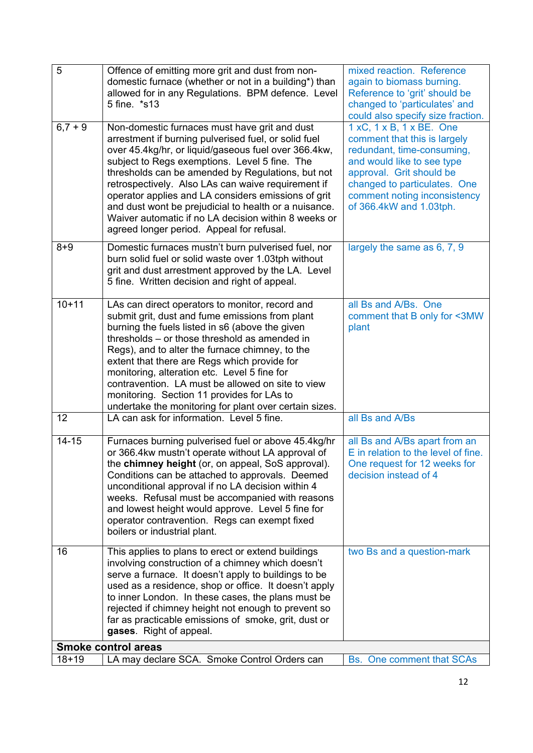| 5         | Offence of emitting more grit and dust from non-<br>domestic furnace (whether or not in a building*) than<br>allowed for in any Regulations. BPM defence. Level<br>5 fine. *s13                                                                                                                                                                                                                                                                                                                                                                | mixed reaction. Reference<br>again to biomass burning.<br>Reference to 'grit' should be<br>changed to 'particulates' and<br>could also specify size fraction.                                                                               |
|-----------|------------------------------------------------------------------------------------------------------------------------------------------------------------------------------------------------------------------------------------------------------------------------------------------------------------------------------------------------------------------------------------------------------------------------------------------------------------------------------------------------------------------------------------------------|---------------------------------------------------------------------------------------------------------------------------------------------------------------------------------------------------------------------------------------------|
| $6,7+9$   | Non-domestic furnaces must have grit and dust<br>arrestment if burning pulverised fuel, or solid fuel<br>over 45.4kg/hr, or liquid/gaseous fuel over 366.4kw,<br>subject to Regs exemptions. Level 5 fine. The<br>thresholds can be amended by Regulations, but not<br>retrospectively. Also LAs can waive requirement if<br>operator applies and LA considers emissions of grit<br>and dust wont be prejudicial to health or a nuisance.<br>Waiver automatic if no LA decision within 8 weeks or<br>agreed longer period. Appeal for refusal. | 1 xC, 1 x B, 1 x BE. One<br>comment that this is largely<br>redundant, time-consuming,<br>and would like to see type<br>approval. Grit should be<br>changed to particulates. One<br>comment noting inconsistency<br>of 366.4kW and 1.03tph. |
| $8 + 9$   | Domestic furnaces mustn't burn pulverised fuel, nor<br>burn solid fuel or solid waste over 1.03tph without<br>grit and dust arrestment approved by the LA. Level<br>5 fine. Written decision and right of appeal.                                                                                                                                                                                                                                                                                                                              | largely the same as 6, 7, 9                                                                                                                                                                                                                 |
| $10 + 11$ | LAs can direct operators to monitor, record and<br>submit grit, dust and fume emissions from plant<br>burning the fuels listed in s6 (above the given<br>thresholds – or those threshold as amended in<br>Regs), and to alter the furnace chimney, to the<br>extent that there are Regs which provide for<br>monitoring, alteration etc. Level 5 fine for<br>contravention. LA must be allowed on site to view<br>monitoring. Section 11 provides for LAs to<br>undertake the monitoring for plant over certain sizes.                         | all Bs and A/Bs. One<br>comment that B only for <3MW<br>plant                                                                                                                                                                               |
| 12        | LA can ask for information. Level 5 fine.                                                                                                                                                                                                                                                                                                                                                                                                                                                                                                      | all Bs and A/Bs                                                                                                                                                                                                                             |
| $14 - 15$ | Furnaces burning pulverised fuel or above 45.4kg/hr<br>or 366.4kw mustn't operate without LA approval of<br>the chimney height (or, on appeal, SoS approval).<br>Conditions can be attached to approvals. Deemed<br>unconditional approval if no LA decision within 4<br>weeks. Refusal must be accompanied with reasons<br>and lowest height would approve. Level 5 fine for<br>operator contravention. Regs can exempt fixed<br>boilers or industrial plant.                                                                                 | all Bs and A/Bs apart from an<br>E in relation to the level of fine.<br>One request for 12 weeks for<br>decision instead of 4                                                                                                               |
| 16        | This applies to plans to erect or extend buildings<br>involving construction of a chimney which doesn't<br>serve a furnace. It doesn't apply to buildings to be<br>used as a residence, shop or office. It doesn't apply<br>to inner London. In these cases, the plans must be<br>rejected if chimney height not enough to prevent so<br>far as practicable emissions of smoke, grit, dust or<br>gases. Right of appeal.                                                                                                                       | two Bs and a question-mark                                                                                                                                                                                                                  |
|           | <b>Smoke control areas</b>                                                                                                                                                                                                                                                                                                                                                                                                                                                                                                                     |                                                                                                                                                                                                                                             |
| $18 + 19$ | LA may declare SCA. Smoke Control Orders can                                                                                                                                                                                                                                                                                                                                                                                                                                                                                                   | <b>Bs.</b> One comment that SCAs                                                                                                                                                                                                            |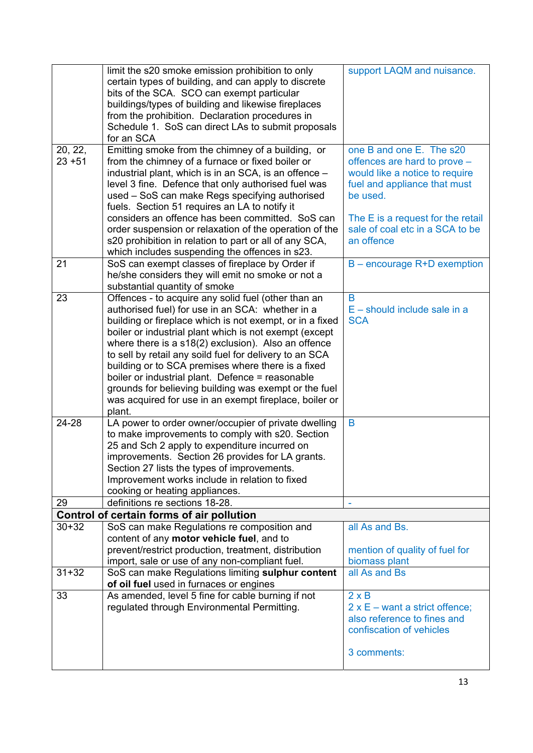|           | limit the s20 smoke emission prohibition to only<br>certain types of building, and can apply to discrete<br>bits of the SCA. SCO can exempt particular<br>buildings/types of building and likewise fireplaces<br>from the prohibition. Declaration procedures in<br>Schedule 1. SoS can direct LAs to submit proposals<br>for an SCA | support LAQM and nuisance.            |
|-----------|--------------------------------------------------------------------------------------------------------------------------------------------------------------------------------------------------------------------------------------------------------------------------------------------------------------------------------------|---------------------------------------|
| 20, 22,   | Emitting smoke from the chimney of a building, or                                                                                                                                                                                                                                                                                    | one B and one E. The s20              |
| $23 + 51$ | from the chimney of a furnace or fixed boiler or                                                                                                                                                                                                                                                                                     | offences are hard to prove -          |
|           | industrial plant, which is in an SCA, is an offence -                                                                                                                                                                                                                                                                                | would like a notice to require        |
|           | level 3 fine. Defence that only authorised fuel was                                                                                                                                                                                                                                                                                  | fuel and appliance that must          |
|           | used - SoS can make Regs specifying authorised                                                                                                                                                                                                                                                                                       | be used.                              |
|           | fuels. Section 51 requires an LA to notify it                                                                                                                                                                                                                                                                                        |                                       |
|           | considers an offence has been committed. SoS can                                                                                                                                                                                                                                                                                     | The E is a request for the retail     |
|           | order suspension or relaxation of the operation of the                                                                                                                                                                                                                                                                               | sale of coal etc in a SCA to be       |
|           | s20 prohibition in relation to part or all of any SCA,                                                                                                                                                                                                                                                                               | an offence                            |
|           | which includes suspending the offences in s23.                                                                                                                                                                                                                                                                                       |                                       |
| 21        | SoS can exempt classes of fireplace by Order if                                                                                                                                                                                                                                                                                      | B - encourage R+D exemption           |
|           | he/she considers they will emit no smoke or not a<br>substantial quantity of smoke                                                                                                                                                                                                                                                   |                                       |
| 23        | Offences - to acquire any solid fuel (other than an                                                                                                                                                                                                                                                                                  | B                                     |
|           | authorised fuel) for use in an SCA: whether in a                                                                                                                                                                                                                                                                                     | $E$ – should include sale in a        |
|           | building or fireplace which is not exempt, or in a fixed                                                                                                                                                                                                                                                                             | <b>SCA</b>                            |
|           | boiler or industrial plant which is not exempt (except                                                                                                                                                                                                                                                                               |                                       |
|           | where there is a s18(2) exclusion). Also an offence                                                                                                                                                                                                                                                                                  |                                       |
|           | to sell by retail any soild fuel for delivery to an SCA                                                                                                                                                                                                                                                                              |                                       |
|           | building or to SCA premises where there is a fixed                                                                                                                                                                                                                                                                                   |                                       |
|           | boiler or industrial plant. Defence = reasonable                                                                                                                                                                                                                                                                                     |                                       |
|           | grounds for believing building was exempt or the fuel                                                                                                                                                                                                                                                                                |                                       |
|           | was acquired for use in an exempt fireplace, boiler or                                                                                                                                                                                                                                                                               |                                       |
|           | plant.                                                                                                                                                                                                                                                                                                                               |                                       |
| 24-28     | LA power to order owner/occupier of private dwelling                                                                                                                                                                                                                                                                                 | B                                     |
|           | to make improvements to comply with s20. Section<br>25 and Sch 2 apply to expenditure incurred on                                                                                                                                                                                                                                    |                                       |
|           | improvements. Section 26 provides for LA grants.                                                                                                                                                                                                                                                                                     |                                       |
|           | Section 27 lists the types of improvements.                                                                                                                                                                                                                                                                                          |                                       |
|           | Improvement works include in relation to fixed                                                                                                                                                                                                                                                                                       |                                       |
|           | cooking or heating appliances.                                                                                                                                                                                                                                                                                                       |                                       |
| 29        | definitions re sections 18-28.                                                                                                                                                                                                                                                                                                       |                                       |
|           | Control of certain forms of air pollution                                                                                                                                                                                                                                                                                            |                                       |
| $30 + 32$ | SoS can make Regulations re composition and                                                                                                                                                                                                                                                                                          | all As and Bs.                        |
|           | content of any motor vehicle fuel, and to                                                                                                                                                                                                                                                                                            |                                       |
|           | prevent/restrict production, treatment, distribution                                                                                                                                                                                                                                                                                 | mention of quality of fuel for        |
|           | import, sale or use of any non-compliant fuel.                                                                                                                                                                                                                                                                                       | biomass plant                         |
| $31 + 32$ | SoS can make Regulations limiting sulphur content                                                                                                                                                                                                                                                                                    | all As and Bs                         |
| 33        | of oil fuel used in furnaces or engines<br>As amended, level 5 fine for cable burning if not                                                                                                                                                                                                                                         | $2 \times B$                          |
|           | regulated through Environmental Permitting.                                                                                                                                                                                                                                                                                          | $2 \times E$ – want a strict offence; |
|           |                                                                                                                                                                                                                                                                                                                                      | also reference to fines and           |
|           |                                                                                                                                                                                                                                                                                                                                      | confiscation of vehicles              |
|           |                                                                                                                                                                                                                                                                                                                                      |                                       |
|           |                                                                                                                                                                                                                                                                                                                                      | 3 comments:                           |
|           |                                                                                                                                                                                                                                                                                                                                      |                                       |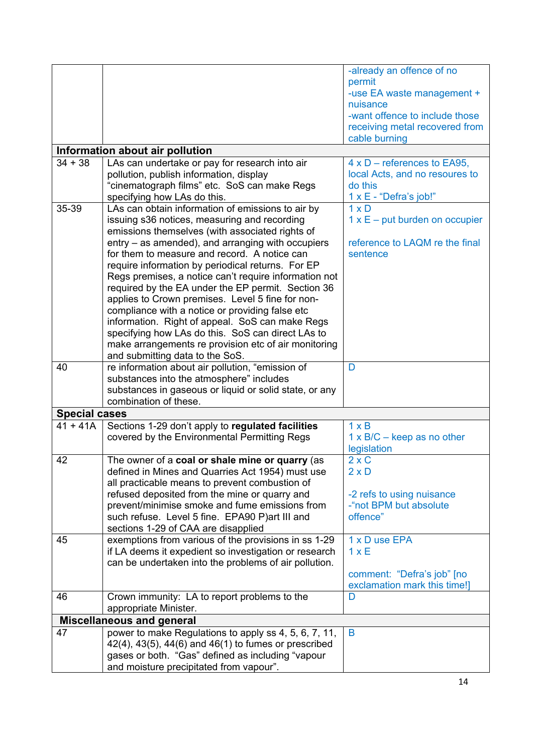|                      |                                                                | -already an offence of no             |
|----------------------|----------------------------------------------------------------|---------------------------------------|
|                      |                                                                | permit                                |
|                      |                                                                |                                       |
|                      |                                                                | -use EA waste management +            |
|                      |                                                                | nuisance                              |
|                      |                                                                | -want offence to include those        |
|                      |                                                                | receiving metal recovered from        |
|                      |                                                                | cable burning                         |
|                      | Information about air pollution                                |                                       |
| $34 + 38$            | LAs can undertake or pay for research into air                 | $4 \times D$ – references to EA95,    |
|                      | pollution, publish information, display                        | local Acts, and no resoures to        |
|                      | "cinematograph films" etc. SoS can make Regs                   | do this                               |
|                      | specifying how LAs do this.                                    | 1 x E - "Defra's job!"                |
| 35-39                | LAs can obtain information of emissions to air by              | $1 \times D$                          |
|                      | issuing s36 notices, measuring and recording                   | $1 \times E$ – put burden on occupier |
|                      | emissions themselves (with associated rights of                |                                       |
|                      | entry – as amended), and arranging with occupiers              | reference to LAQM re the final        |
|                      | for them to measure and record. A notice can                   | sentence                              |
|                      |                                                                |                                       |
|                      | require information by periodical returns. For EP              |                                       |
|                      | Regs premises, a notice can't require information not          |                                       |
|                      | required by the EA under the EP permit. Section 36             |                                       |
|                      | applies to Crown premises. Level 5 fine for non-               |                                       |
|                      | compliance with a notice or providing false etc                |                                       |
|                      | information. Right of appeal. SoS can make Regs                |                                       |
|                      | specifying how LAs do this. SoS can direct LAs to              |                                       |
|                      | make arrangements re provision etc of air monitoring           |                                       |
|                      | and submitting data to the SoS.                                |                                       |
| 40                   | re information about air pollution, "emission of               | D                                     |
|                      | substances into the atmosphere" includes                       |                                       |
|                      | substances in gaseous or liquid or solid state, or any         |                                       |
|                      | combination of these.                                          |                                       |
| <b>Special cases</b> |                                                                |                                       |
| $41 + 41A$           | Sections 1-29 don't apply to regulated facilities              | $1 \times B$                          |
|                      | covered by the Environmental Permitting Regs                   | $1 \times B/C -$ keep as no other     |
|                      |                                                                | legislation                           |
| 42                   | The owner of a coal or shale mine or quarry (as                | $2 \times C$                          |
|                      | defined in Mines and Quarries Act 1954) must use               | $2 \times D$                          |
|                      | all practicable means to prevent combustion of                 |                                       |
|                      |                                                                |                                       |
|                      | refused deposited from the mine or quarry and                  | -2 refs to using nuisance             |
|                      | prevent/minimise smoke and fume emissions from                 | -"not BPM but absolute                |
|                      | such refuse. Level 5 fine. EPA90 P)art III and                 | offence"                              |
|                      | sections 1-29 of CAA are disapplied                            |                                       |
| 45                   | exemptions from various of the provisions in ss 1-29           | 1 x D use EPA                         |
|                      | if LA deems it expedient so investigation or research          | 1xE                                   |
|                      | can be undertaken into the problems of air pollution.          |                                       |
|                      |                                                                | comment: "Defra's job" [no            |
|                      |                                                                | exclamation mark this time!]          |
| 46                   | Crown immunity: LA to report problems to the                   | D                                     |
|                      | appropriate Minister.                                          |                                       |
|                      | <b>Miscellaneous and general</b>                               |                                       |
| 47                   | power to make Regulations to apply ss 4, 5, 6, 7, 11,          | B                                     |
|                      | $42(4)$ , $43(5)$ , $44(6)$ and $46(1)$ to fumes or prescribed |                                       |
|                      | gases or both. "Gas" defined as including "vapour              |                                       |
|                      | and moisture precipitated from vapour".                        |                                       |
|                      |                                                                |                                       |